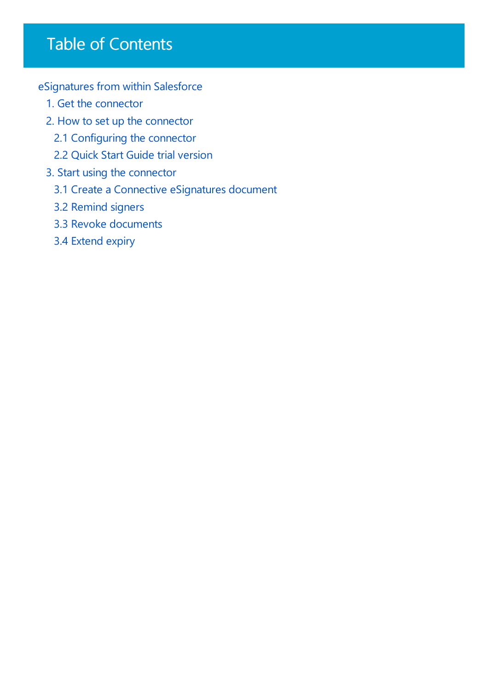## Table of Contents

[eSignatures](javascript:void(0)) from within Salesforce

- 1. Get the [connector](#page-2-0)
- 2. How to set up the [connector](#page-4-0)
	- 2.1 [Configuring](#page-6-0) the connector
	- 2.2 Quick Start Guide trial version
- 3. Start using the [connector](#page-9-0)
	- 3.1 Create a Connective [eSignatures](#page-12-0) document
	- 3.2 [Remind](#page-15-0) signers
	- 3.3 Revoke [documents](#page-16-0)
	- 3.4 [Extend](#page-17-0) expiry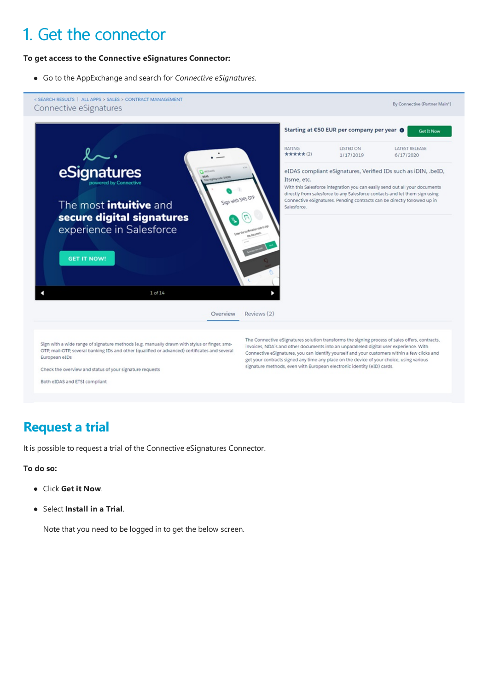## 1. Get the connector

#### **To get access to the Connective eSignatures Connector:**

Go to the AppExchangeand search for *Connective eSignatures*.



### **Request a trial**

It is possible to request a trial of the Connective eSignatures Connector.

#### **To do so:**

- Click **Get it Now**.
- Select **Install in a Trial**.

Note that you need to be logged in to get the below screen.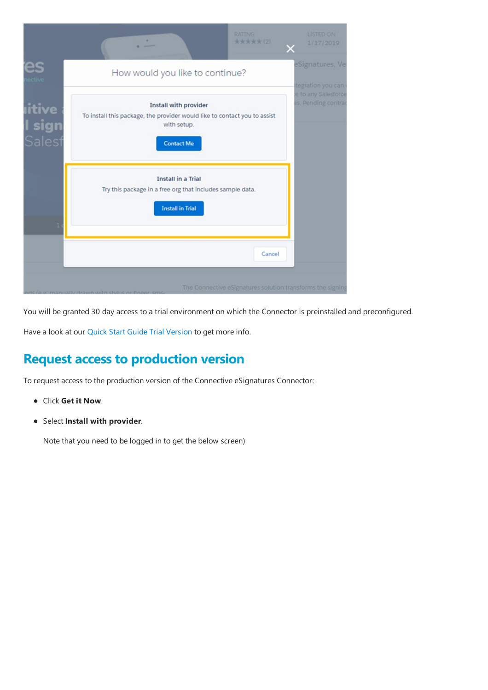<span id="page-2-0"></span>

|                                | ۰                                                                                                                                             | <b>RATING</b><br><b>*****(2)</b> | LISTED ON<br>1/17/2019                                     |
|--------------------------------|-----------------------------------------------------------------------------------------------------------------------------------------------|----------------------------------|------------------------------------------------------------|
| es                             | How would you like to continue?                                                                                                               |                                  | eSignatures, Ve<br>tegration you can                       |
| <b>itive</b><br>sign<br>Salest | <b>Install with provider</b><br>To install this package, the provider would like to contact you to assist<br>with setup.<br><b>Contact Me</b> |                                  | e to any Salesforce<br>es. Pending contrad                 |
| 1                              | <b>Install in a Trial</b><br>Try this package in a free org that includes sample data.<br><b>Install in Trial</b>                             |                                  |                                                            |
|                                |                                                                                                                                               | Cancel                           |                                                            |
|                                |                                                                                                                                               |                                  | The Connective eSignatures solution transforms the signing |

You will be granted 30 day access to a trial environment on which the Connector is preinstalled and preconfigured.

Have a look at our Quick Start Guide Trial Version to get more info.

### **Request access to production version**

To request access to the production version of the Connective eSignatures Connector:

- Click **Get it Now**.
- Select **Install with provider**.

Note that you need to be logged in to get the below screen)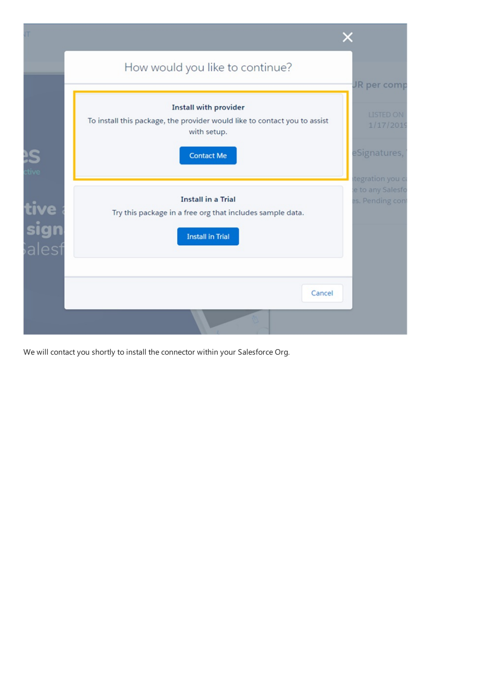|                       | How would you like to continue?                                                                                                               |                                                              |
|-----------------------|-----------------------------------------------------------------------------------------------------------------------------------------------|--------------------------------------------------------------|
|                       | <b>Install with provider</b><br>To install this package, the provider would like to contact you to assist<br>with setup.<br><b>Contact Me</b> | JR per comp<br><b>LISTED ON</b><br>1/17/2019<br>eSignatures, |
| tive<br>sign<br>alest | <b>Install in a Trial</b><br>Try this package in a free org that includes sample data.<br><b>Install in Trial</b>                             | tegration you c<br>e to any Salesfo<br>es. Pending cont      |
|                       | Cancel                                                                                                                                        |                                                              |

We will contact you shortly to install the connector within your Salesforce Org.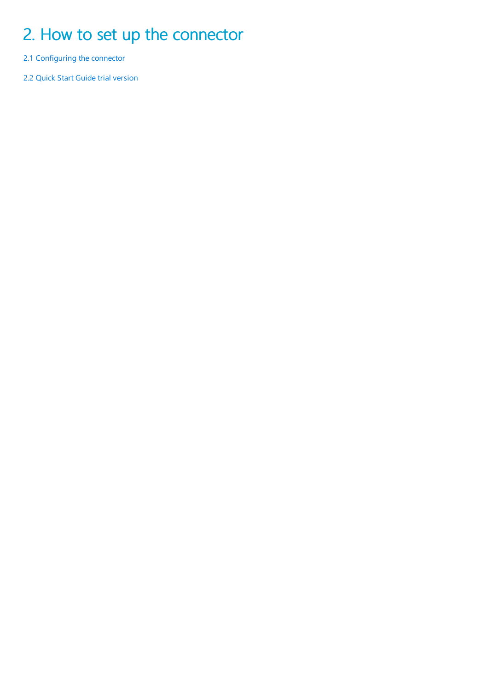## <span id="page-4-0"></span>2. How to set up the connector

2.1 Configuring the connector

2.2 Quick Start Guide trial version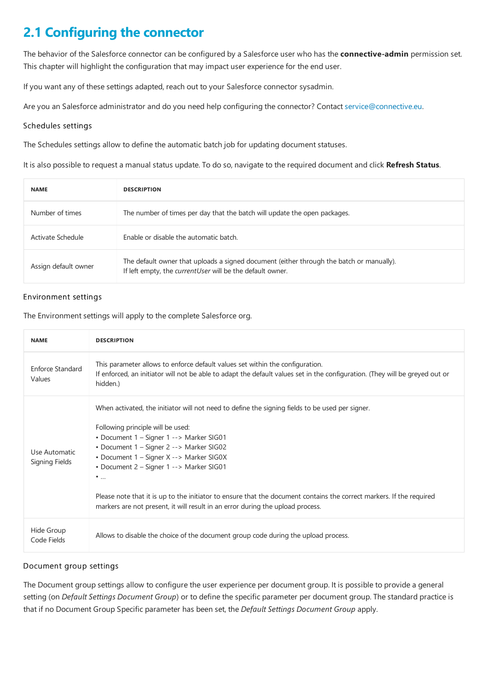### **2.1 Configuring the connector**

The behavior of the Salesforce connector can be configured by a Salesforce user who has the **connective-admin** permission set. This chapter will highlight the configuration that may impact user experience for the end user.

If you want any of these settings adapted, reach out to your Salesforce connector sysadmin.

Are you an Salesforce administrator and do you need help configuring the connector? Contact [service@connective.eu](mailto:service@connective.eu).

#### Schedules settings

The Schedules settings allow to define the automatic batch job for updating document statuses.

It is also possible to request a manual status update. To do so, navigate to the required document and click Refresh Status.

| <b>NAME</b>          | <b>DESCRIPTION</b>                                                                                                                                    |
|----------------------|-------------------------------------------------------------------------------------------------------------------------------------------------------|
| Number of times      | The number of times per day that the batch will update the open packages.                                                                             |
| Activate Schedule    | Enable or disable the automatic batch.                                                                                                                |
| Assign default owner | The default owner that uploads a signed document (either through the batch or manually).<br>If left empty, the currentUser will be the default owner. |

#### Environment settings

The Environment settings will apply to the complete Salesforce org.

| <b>NAME</b>                     | <b>DESCRIPTION</b>                                                                                                                                                                                                                                                                                                                                                                                                                                                                                                                          |
|---------------------------------|---------------------------------------------------------------------------------------------------------------------------------------------------------------------------------------------------------------------------------------------------------------------------------------------------------------------------------------------------------------------------------------------------------------------------------------------------------------------------------------------------------------------------------------------|
| Enforce Standard<br>Values      | This parameter allows to enforce default values set within the configuration.<br>If enforced, an initiator will not be able to adapt the default values set in the configuration. (They will be greyed out or<br>hidden.)                                                                                                                                                                                                                                                                                                                   |
| Use Automatic<br>Signing Fields | When activated, the initiator will not need to define the signing fields to be used per signer.<br>Following principle will be used:<br>• Document 1 - Signer 1 --> Marker SIG01<br>• Document 1 – Signer 2 --> Marker SIG02<br>• Document 1 - Signer X --> Marker SIG0X<br>• Document 2 - Signer 1 --> Marker SIG01<br>$\bullet$<br>Please note that it is up to the initiator to ensure that the document contains the correct markers. If the required<br>markers are not present, it will result in an error during the upload process. |
| Hide Group<br>Code Fields       | Allows to disable the choice of the document group code during the upload process.                                                                                                                                                                                                                                                                                                                                                                                                                                                          |

#### Document group settings

The Document group settings allow to configure the user experience per document group. It is possible to provide a general setting (on *Default Settings Document Group*) or to define the specific parameter per document group. The standard practice is that if no Document Group Specific parameter has been set, the *Default Settings Document Group* apply.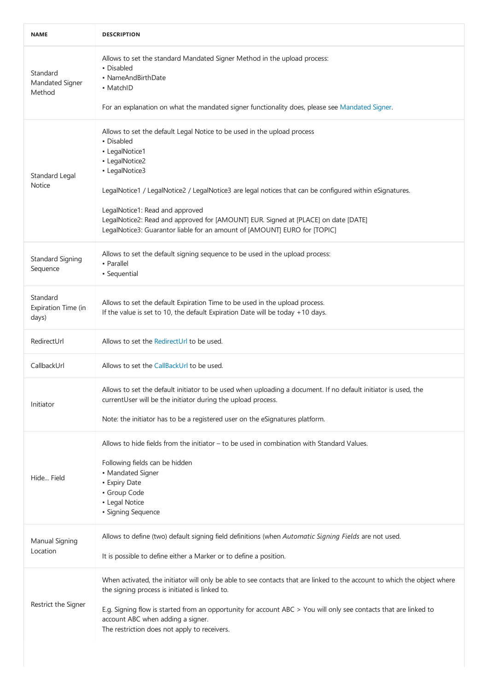<span id="page-6-0"></span>

| <b>NAME</b>                              | <b>DESCRIPTION</b>                                                                                                                                                                                                                                                                                                                                                                                                                                           |
|------------------------------------------|--------------------------------------------------------------------------------------------------------------------------------------------------------------------------------------------------------------------------------------------------------------------------------------------------------------------------------------------------------------------------------------------------------------------------------------------------------------|
| Standard<br>Mandated Signer<br>Method    | Allows to set the standard Mandated Signer Method in the upload process:<br>• Disabled<br>• NameAndBirthDate<br>• MatchID<br>For an explanation on what the mandated signer functionality does, please see Mandated Signer.                                                                                                                                                                                                                                  |
| Standard Legal<br>Notice                 | Allows to set the default Legal Notice to be used in the upload process<br>• Disabled<br>• LegalNotice1<br>• LegalNotice2<br>• LegalNotice3<br>LegalNotice1 / LegalNotice2 / LegalNotice3 are legal notices that can be configured within eSignatures.<br>LegalNotice1: Read and approved<br>LegalNotice2: Read and approved for [AMOUNT] EUR. Signed at [PLACE] on date [DATE]<br>LegalNotice3: Guarantor liable for an amount of [AMOUNT] EURO for [TOPIC] |
| <b>Standard Signing</b><br>Sequence      | Allows to set the default signing sequence to be used in the upload process:<br>• Parallel<br>• Sequential                                                                                                                                                                                                                                                                                                                                                   |
| Standard<br>Expiration Time (in<br>days) | Allows to set the default Expiration Time to be used in the upload process.<br>If the value is set to 10, the default Expiration Date will be today +10 days.                                                                                                                                                                                                                                                                                                |
| RedirectUrl                              | Allows to set the RedirectUrl to be used.                                                                                                                                                                                                                                                                                                                                                                                                                    |
| CallbackUrl                              | Allows to set the CallBackUrl to be used.                                                                                                                                                                                                                                                                                                                                                                                                                    |
| Initiator                                | Allows to set the default initiator to be used when uploading a document. If no default initiator is used, the<br>currentUser will be the initiator during the upload process.<br>Note: the initiator has to be a registered user on the eSignatures platform.                                                                                                                                                                                               |
| Hide Field                               | Allows to hide fields from the initiator $-$ to be used in combination with Standard Values.<br>Following fields can be hidden<br>• Mandated Signer<br>• Expiry Date<br>• Group Code<br>• Legal Notice<br>· Signing Sequence                                                                                                                                                                                                                                 |
| Manual Signing<br>Location               | Allows to define (two) default signing field definitions (when Automatic Signing Fields are not used.<br>It is possible to define either a Marker or to define a position.                                                                                                                                                                                                                                                                                   |
| Restrict the Signer                      | When activated, the initiator will only be able to see contacts that are linked to the account to which the object where<br>the signing process is initiated is linked to.<br>E.g. Signing flow is started from an opportunity for account ABC > You will only see contacts that are linked to<br>account ABC when adding a signer.<br>The restriction does not apply to receivers.                                                                          |
|                                          |                                                                                                                                                                                                                                                                                                                                                                                                                                                              |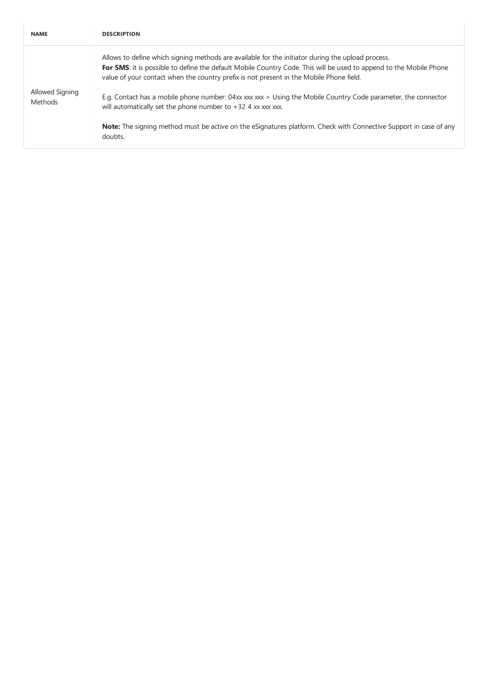| <b>NAME</b>                       | <b>DESCRIPTION</b>                                                                                                                                                                                                                                                                                                                                                                                                                                                                                    |
|-----------------------------------|-------------------------------------------------------------------------------------------------------------------------------------------------------------------------------------------------------------------------------------------------------------------------------------------------------------------------------------------------------------------------------------------------------------------------------------------------------------------------------------------------------|
| Allowed Signing<br><b>Methods</b> | Allows to define which signing methods are available for the initiator during the upload process.<br>For SMS: it is possible to define the default Mobile Country Code. This will be used to append to the Mobile Phone<br>value of your contact when the country prefix is not present in the Mobile Phone field.<br>E.g. Contact has a mobile phone number: 04xx xxx xxx > Using the Mobile Country Code parameter, the connector<br>will automatically set the phone number to $+32$ 4 xx xxx xxx. |
|                                   | <b>Note:</b> The signing method must be active on the eSignatures platform. Check with Connective Support in case of any<br>doubts.                                                                                                                                                                                                                                                                                                                                                                   |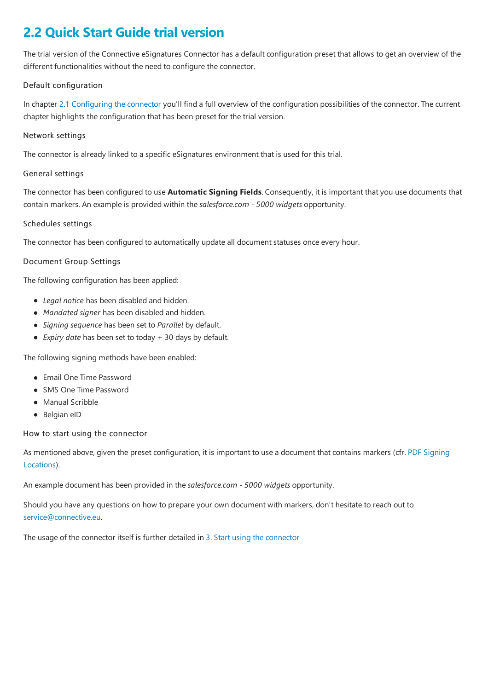### <span id="page-8-0"></span>**2.2 Quick Start Guide trial version**

The trial version of the Connective eSignatures Connector has a default configuration preset that allows to get an overview of the different functionalities without the need to configure the connector.

#### Default configuration

In chapter 2.1 Configuring the connector you'll find a full overview of the configuration possibilities of the connector. The current chapter highlights the configuration that has been preset for the trial version.

#### Network settings

The connector is already linked to a specific eSignatures environment that is used for this trial.

#### General settings

The connector has been configured to use **Automatic Signing Fields**. Consequently, it is important that you use documents that contain markers. An exampleis provided within the*salesforce.com - 5000 widgets* opportunity.

#### Schedules settings

The connector has been configured to automatically update all document statuses once every hour.

#### Document Group Settings

The following configuration has been applied:

- *Legal notice* has been disabled and hidden.
- *Mandated signer* has been disabled and hidden.
- *Signing sequence* has been set to *Parallel* by default.
- *Expiry date* has been set to today + 30 days by default.

The following signing methods have been enabled:

- Email One Time Password
- SMS One Time Password
- Manual Scribble
- Belgian eID

#### How to start using the connector

As mentioned above, given the preset [configuration,](https://documentation.connective.eu/en-us/eSignatures5.5/SigningFieldWithId.html#1023-text-markers) it is important to usea document that contains markers (cfr. PDF Signing Locations).

An example document has been provided in the*salesforce.com - 5000 widgets* opportunity.

Should you have any questions on how to prepare your own document with markers, don't hesitate to reach out to [service@connective.eu](mailto:service@connective.eu).

The usage of the connector itself is further detailed in 3. Start using the connector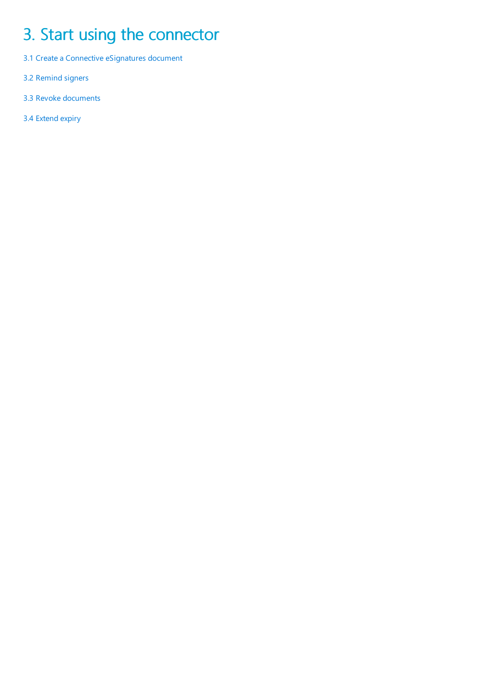# <span id="page-9-0"></span>3. Start using the connector

- 3.1 Create a Connective eSignatures document
- 3.2 [Remind](#page-15-0) signers
- 3.3 Revoke [documents](#page-16-0)
- 3.4 [Extend](#page-17-0) expiry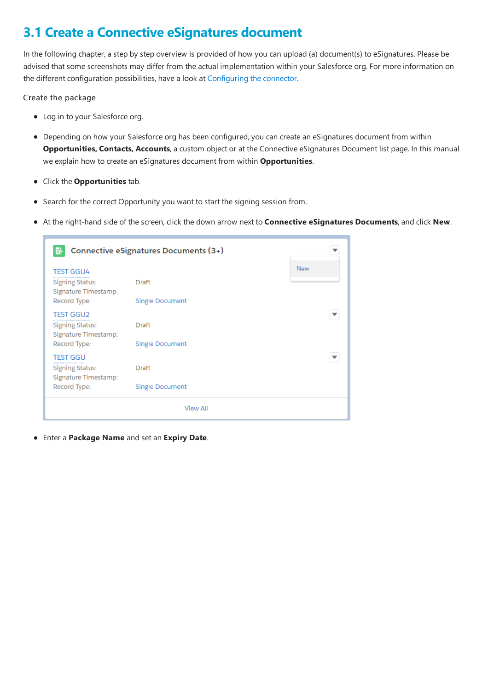### **3.1 Create a Connective eSignatures document**

In the following chapter, a step by step overview is provided of how you can upload (a) document(s) to eSignatures. Please be advised that some screenshots may differ from the actual implementation within your Salesforce org. For more information on the different configuration possibilities, have a look at Configuring the connector.

#### Create the package

- Log in to your Salesforce org.
- Depending on how your Salesforce org has been configured, you can create an eSignatures document from within **Opportunities, Contacts, Accounts**, a custom object or at the Connective eSignatures Document list page. In this manual we explain how to create an eSignatures document from within **Opportunities**.
- Click the **Opportunities** tab.
- Search for the correct Opportunity you want to start the signing session from.
- $\bullet$  At the right-hand side of the screen, click the down arrow next to **Connective eSignatures Documents**, and click New.

| 盵                                                                                 | Connective eSignatures Documents (3+)  |     |
|-----------------------------------------------------------------------------------|----------------------------------------|-----|
| <b>TEST GGU4</b><br>Signing Status:<br>Signature Timestamp:<br>Record Type:       | Draft<br><b>Single Document</b>        | New |
| <b>TEST GGU2</b><br>Signing Status:<br>Signature Timestamp:<br>Record Type:       | Draft<br><b>Single Document</b>        |     |
| <b>TEST GGU</b><br><b>Signing Status:</b><br>Signature Timestamp:<br>Record Type: | <b>Draft</b><br><b>Single Document</b> |     |
|                                                                                   | <b>View All</b>                        |     |

Enter a **Package Name** and setan **Expiry Date**.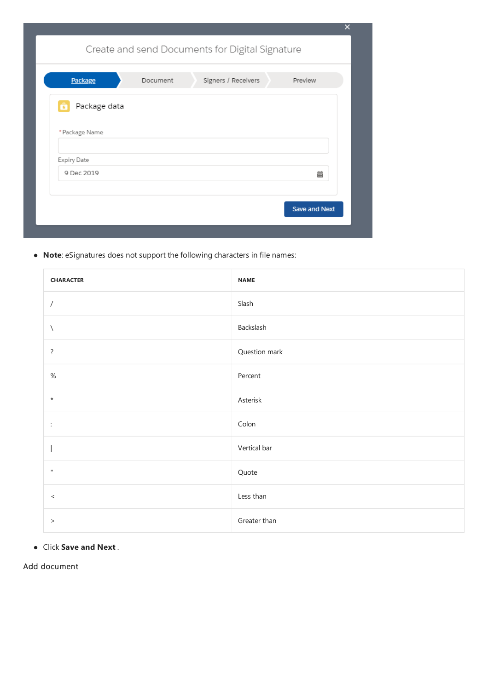| <b>Package</b> | Document | Signers / Receivers | Preview |
|----------------|----------|---------------------|---------|
| Package data   |          |                     |         |
| * Package Name |          |                     |         |
| Expiry Date    |          |                     |         |
| 9 Dec 2019     |          |                     | 苗       |
|                |          |                     |         |

 $\bullet$  **Note**: eSignatures does not support the following characters in file names:

| <b>CHARACTER</b> | <b>NAME</b>   |
|------------------|---------------|
| $\overline{1}$   | Slash         |
| $\backslash$     | Backslash     |
| $\ddot{?}$       | Question mark |
| $\%$             | Percent       |
| $^\star$         | Asterisk      |
| ÷                | Colon         |
|                  | Vertical bar  |
| $\mathbf{H}$     | Quote         |
| $\,<$            | Less than     |
| $\,>$            | Greater than  |

Click **Save and Next** .

Add document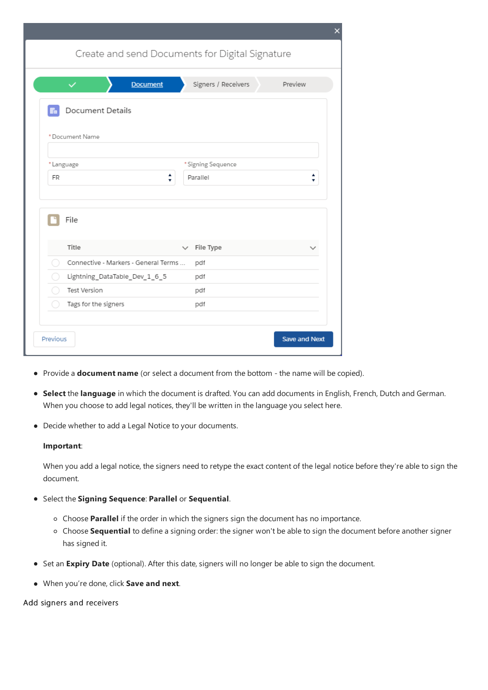<span id="page-12-0"></span>

| Create and send Documents for Digital Signature |                           |         |
|-------------------------------------------------|---------------------------|---------|
|                                                 |                           |         |
| $\checkmark$<br><b>Document</b>                 | Signers / Receivers       | Preview |
| <b>Document Details</b><br><b>Tree</b>          |                           |         |
| *Document Name                                  |                           |         |
| *Language                                       | * Signing Sequence        |         |
| ٠<br>FR<br>۰                                    | Parallel                  | ٠<br>v  |
| File                                            |                           |         |
|                                                 |                           |         |
| Title                                           | File Type<br>$\checkmark$ |         |
| Connective - Markers - General Terms<br>( )     | pdf                       |         |
| Lightning_DataTable_Dev_1_6_5<br>$\rightarrow$  | pdf                       |         |
| <b>Test Version</b>                             | pdf                       |         |
| Tags for the signers                            | pdf                       |         |

- Provide a **document name** (or select a document from the bottom the name will be copied).
- **Select** the language in which the document is drafted. You can add documents in English, French, Dutch and German. When you choose to add legal notices, they'll be written in the language you select here.
- Decide whether to add a Legal Notice to your documents.

#### **Important**:

When you add a legal notice, the signers need to retype the exact content of the legal notice before they're able to sign the document.

- Select the **Signing Sequence**: **Parallel** or **Sequential**.
	- Choose **Parallel** if the order in which thesigners sign the document has no importance.
	- <sup>o</sup> Choose **Sequential** to define a signing order: the signer won't be able to sign the document before another signer has signed it.
- **•** Set an Expiry Date (optional). After this date, signers will no longer be able to sign the document.
- $\bullet$  When you're done, click **Save and next**.

#### Add signers and receivers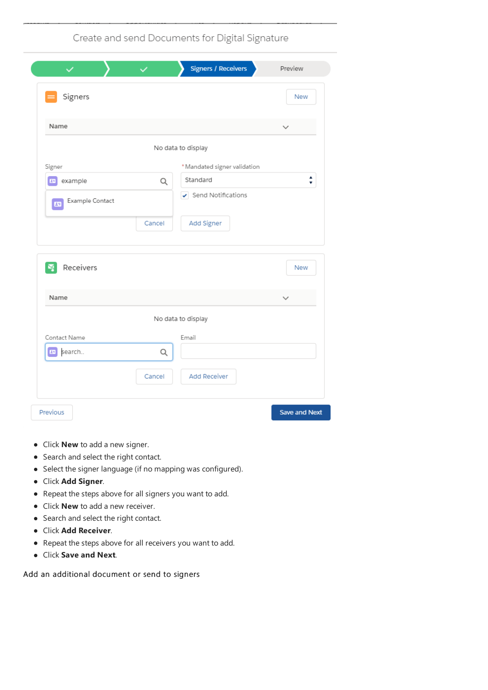Create and send Documents for Digital Signature

| ✓                       | $\checkmark$ | <b>Signers / Receivers</b>               | Preview              |
|-------------------------|--------------|------------------------------------------|----------------------|
| Signers                 |              |                                          | New                  |
| Name                    |              |                                          | $\checkmark$         |
|                         |              | No data to display                       |                      |
| Signer                  |              | * Mandated signer validation             |                      |
| example<br>$\mathbf{E}$ | Q            | Standard                                 | ٠<br>۷               |
| Example Contact<br>国    |              | $\blacktriangleright$ Send Notifications |                      |
|                         | Cancel       | Add Signer                               |                      |
| Receivers<br>N,         |              |                                          | New                  |
| Name                    |              |                                          | $\check{~}$          |
|                         |              | No data to display                       |                      |
| Contact Name            |              | Email                                    |                      |
| En search               | Q            |                                          |                      |
|                         | Cancel       | <b>Add Receiver</b>                      |                      |
| Previous                |              |                                          | <b>Save and Next</b> |

- Click **New** to add a new signer.
- Search and select the right contact.
- Select the signer language (if no mapping was configured).
- Click **Add Signer**.
- Repeat the steps above for all signers you want to add.
- Click **New** to add a new receiver.
- $\bullet$  Search and select the right contact.
- Click **Add Receiver**.
- Repeat the steps above for all receivers you want to add.
- Click **Save and Next**.

Add an additional document or send to signers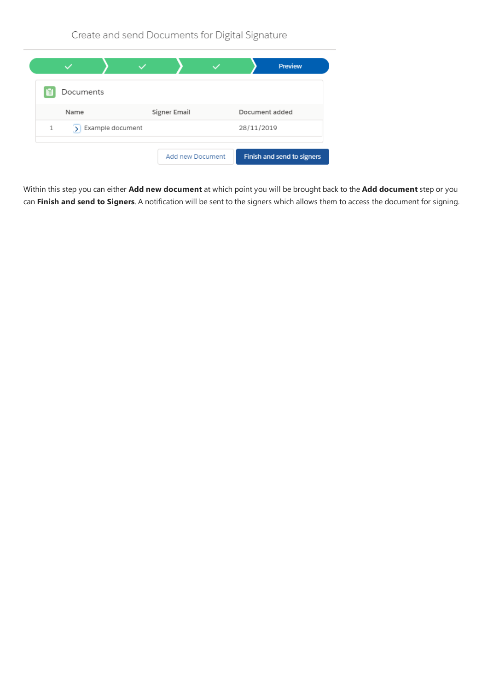Create and send Documents for Digital Signature



Within this step you can either **Add new document**at which pointyou will be brought back to the **Add document** step or you can Finish and send to Signers. A notification will be sent to the signers which allows them to access the document for signing.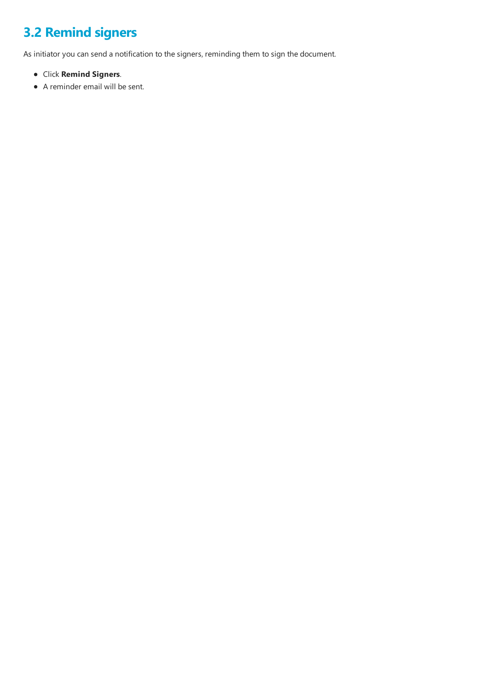## <span id="page-15-0"></span>**3.2 Remind signers**

As initiator you can send a notification to the signers, reminding them to sign the document.

- Click **Remind Signers**.
- A reminder email will be sent.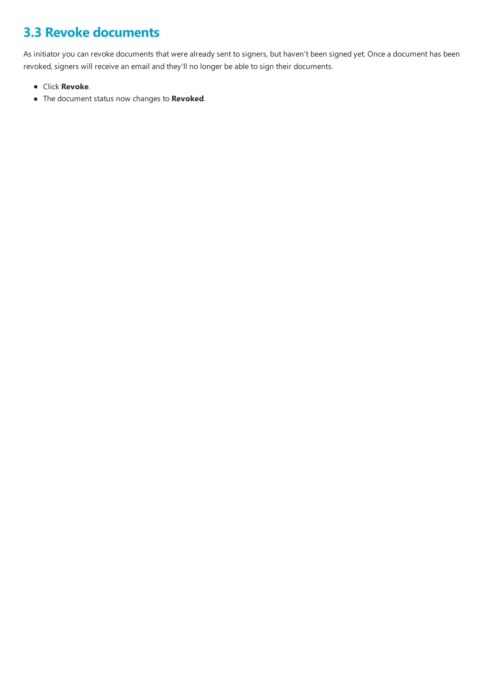## <span id="page-16-0"></span>**3.3 Revoke documents**

As initiator you can revoke documents that were already sent to signers, but haven't been signed yet. Once a document has been revoked, signers will receive an email and they'll no longer be able to sign their documents.

- Click **Revoke**.
- The document status now changes to **Revoked**.